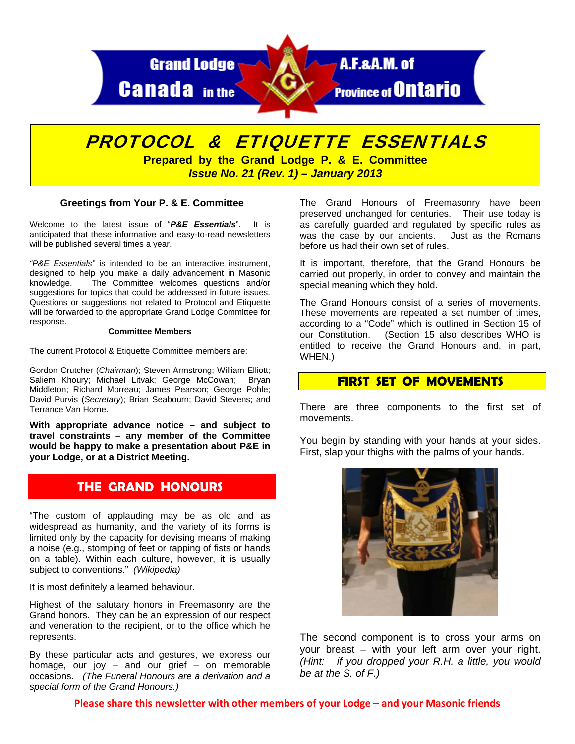

# PROTOCOL & ETIQUETTE ESSENTIALS

**Prepared by the Grand Lodge P. & E. Committee**  *Issue No. 21 (Rev. 1) – January 2013* 

#### **Greetings from Your P. & E. Committee**

Welcome to the latest issue of "*P&E Essentials*". It is anticipated that these informative and easy-to-read newsletters will be published several times a year.

*"P&E Essentials"* is intended to be an interactive instrument, designed to help you make a daily advancement in Masonic knowledge. The Committee welcomes questions and/or suggestions for topics that could be addressed in future issues. Questions or suggestions not related to Protocol and Etiquette will be forwarded to the appropriate Grand Lodge Committee for response.

#### **Committee Members**

The current Protocol & Etiquette Committee members are:

Gordon Crutcher (*Chairman*); Steven Armstrong; William Elliott; Saliem Khoury; Michael Litvak; George McCowan; Bryan Middleton; Richard Morreau; James Pearson; George Pohle; David Purvis (*Secretary*); Brian Seabourn; David Stevens; and Terrance Van Horne.

**With appropriate advance notice – and subject to travel constraints – any member of the Committee would be happy to make a presentation about P&E in your Lodge, or at a District Meeting.** 

# **THE GRAND HONOURS**

"The custom of applauding may be as old and as widespread as humanity, and the variety of its forms is limited only by the capacity for devising means of making a noise (e.g., stomping of feet or rapping of fists or hands on a table). Within each culture, however, it is usually subject to conventions." *(Wikipedia)*

It is most definitely a learned behaviour.

Highest of the salutary honors in Freemasonry are the Grand honors. They can be an expression of our respect and veneration to the recipient, or to the office which he represents.

By these particular acts and gestures, we express our homage, our joy  $-$  and our grief  $-$  on memorable occasions. *(The Funeral Honours are a derivation and a special form of the Grand Honours.)*

The Grand Honours of Freemasonry have been preserved unchanged for centuries. Their use today is as carefully guarded and regulated by specific rules as was the case by our ancients. Just as the Romans before us had their own set of rules.

It is important, therefore, that the Grand Honours be carried out properly, in order to convey and maintain the special meaning which they hold.

The Grand Honours consist of a series of movements. These movements are repeated a set number of times, according to a "Code" which is outlined in Section 15 of our Constitution. (Section 15 also describes WHO is entitled to receive the Grand Honours and, in part, WHEN.)

#### **FIRST SET OF MOVEMENTS**

There are three components to the first set of movements.

You begin by standing with your hands at your sides. First, slap your thighs with the palms of your hands.



The second component is to cross your arms on your breast – with your left arm over your right. *(Hint: if you dropped your R.H. a little, you would be at the S. of F.)*